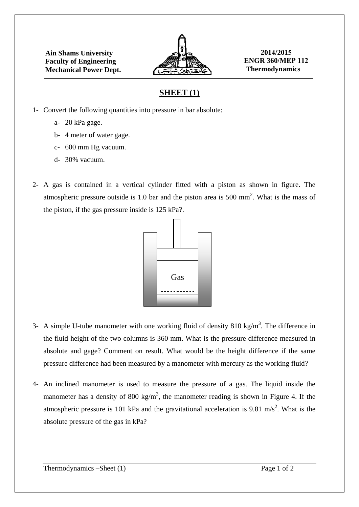

## **SHEET (1)**

- 1- Convert the following quantities into pressure in bar absolute:
	- a- 20 kPa gage.
	- b- 4 meter of water gage.
	- c- 600 mm Hg vacuum.
	- d- 30% vacuum.
- 2- A gas is contained in a vertical cylinder fitted with a piston as shown in figure. The atmospheric pressure outside is 1.0 bar and the piston area is 500 mm<sup>2</sup>. What is the mass of the piston, if the gas pressure inside is 125 kPa?.



- 3- A simple U-tube manometer with one working fluid of density 810 kg/m<sup>3</sup>. The difference in the fluid height of the two columns is 360 mm. What is the pressure difference measured in absolute and gage? Comment on result. What would be the height difference if the same pressure difference had been measured by a manometer with mercury as the working fluid?
- 4- An inclined manometer is used to measure the pressure of a gas. The liquid inside the manometer has a density of 800 kg/m<sup>3</sup>, the manometer reading is shown in Figure 4. If the atmospheric pressure is 101 kPa and the gravitational acceleration is 9.81 m/s<sup>2</sup>. What is the absolute pressure of the gas in kPa?